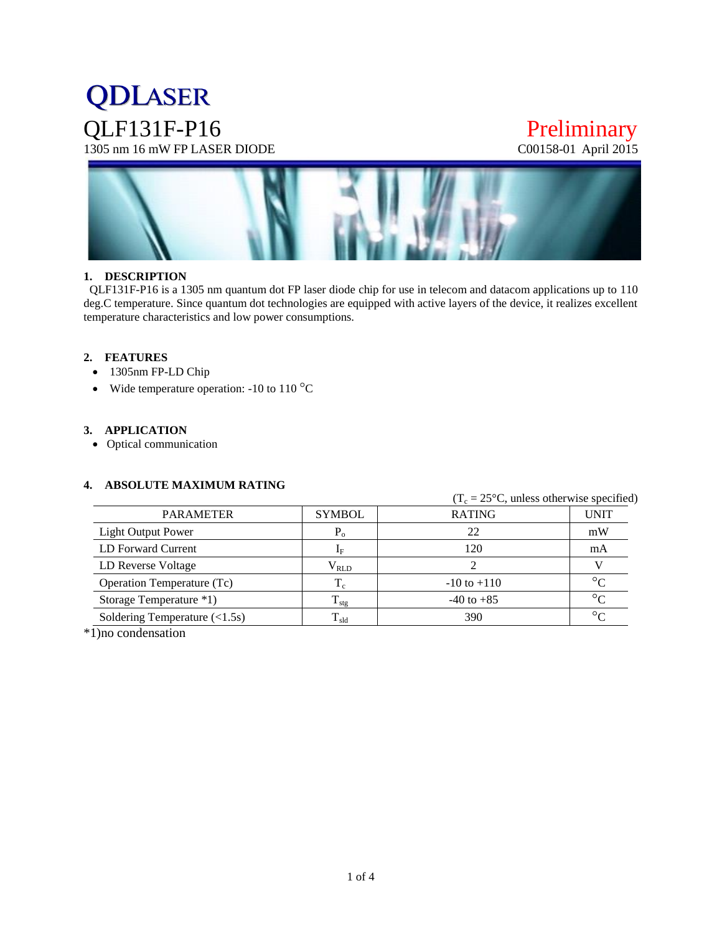## **QDLASER** QLF131F-P16 Preliminary<br>1305 nm 16 mW FP LASER DIODE C00158-01 April 2015  $1305$  nm  $16$  mW FP LASER DIODE



#### **1. DESCRIPTION**

 QLF131F-P16 is a 1305 nm quantum dot FP laser diode chip for use in telecom and datacom applications up to 110 deg.C temperature. Since quantum dot technologies are equipped with active layers of the device, it realizes excellent temperature characteristics and low power consumptions.

#### **2. FEATURES**

- 1305nm FP-LD Chip
- Wide temperature operation: -10 to 110  $^{\circ}$ C

#### **3. APPLICATION**

Optical communication

#### **4. ABSOLUTE MAXIMUM RATING**

|                                                |                           |                 | $(T_c = 25^{\circ}C$ , unless otherwise specified) |  |  |
|------------------------------------------------|---------------------------|-----------------|----------------------------------------------------|--|--|
| <b>PARAMETER</b>                               | <b>SYMBOL</b>             | <b>RATING</b>   | <b>UNIT</b>                                        |  |  |
| Light Output Power                             | $P_{o}$                   | 22              | mW                                                 |  |  |
| LD Forward Current                             | $\mathbf{1}_{\mathrm{F}}$ | 120             | mA                                                 |  |  |
| LD Reverse Voltage                             | $\rm V_{RLD}$             |                 |                                                    |  |  |
| Operation Temperature (Tc)                     | $T_c$                     | $-10$ to $+110$ | $\circ$                                            |  |  |
| Storage Temperature *1)                        | $T_{\rm stg}$             | $-40$ to $+85$  | $\circ$                                            |  |  |
| Soldering Temperature $(\langle 1.5s \rangle)$ | $T_{\rm sld}$             | 390             | $\circ$                                            |  |  |

\*1)no condensation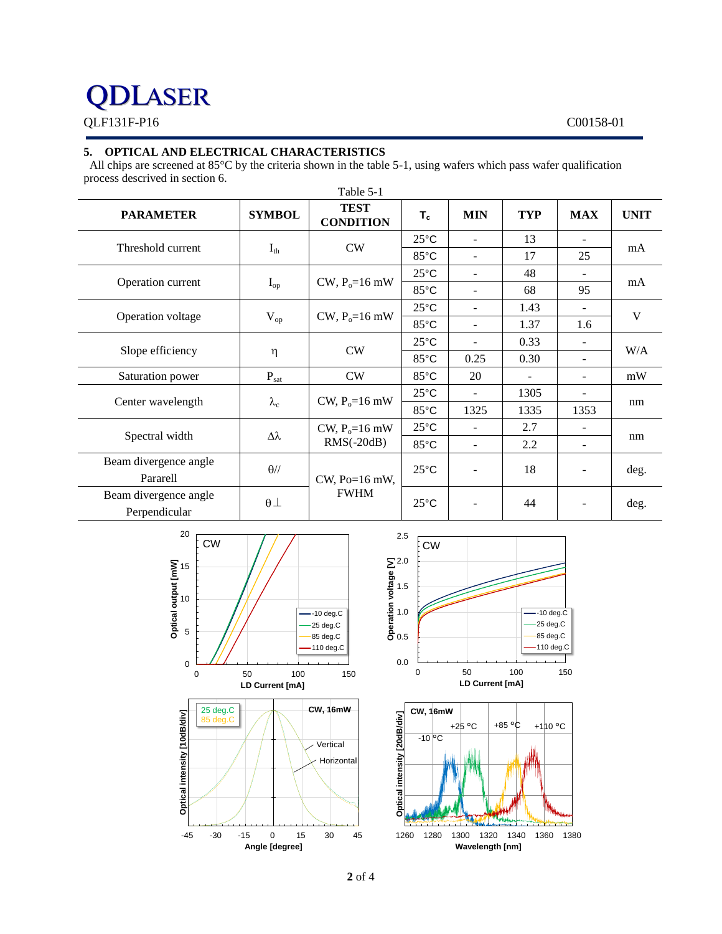## **QDLASER** QLF131F-P16 C00158-01

#### **5. OPTICAL AND ELECTRICAL CHARACTERISTICS**

All chips are screened at 85°C by the criteria shown in the table 5-1, using wafers which pass wafer qualification process descrived in section 6.

| <b>PARAMETER</b>      | <b>SYMBOL</b>     | <b>TEST</b><br><b>CONDITION</b>   | $T_c$          | <b>MIN</b>     | <b>TYP</b> | <b>MAX</b>               | <b>UNIT</b> |
|-----------------------|-------------------|-----------------------------------|----------------|----------------|------------|--------------------------|-------------|
| Threshold current     | $I_{th}$          | CW                                | $25^{\circ}$ C | $\sim$         | 13         | $\overline{\phantom{a}}$ | mA          |
|                       |                   |                                   | 85°C           | $\sim$         | 17         | 25                       |             |
| Operation current     | $I_{op}$          | $CW$ , $P_0 = 16$ mW              | $25^{\circ}$ C | $\sim$         | 48         | $\overline{\phantom{a}}$ | mA          |
|                       |                   |                                   | 85°C           | $\sim$         | 68         | 95                       |             |
| Operation voltage     | $V_{op}$          | $CW$ , $P_0 = 16$ mW              | $25^{\circ}$ C | $\blacksquare$ | 1.43       | $\overline{\phantom{a}}$ | V           |
|                       |                   |                                   | $85^{\circ}$ C | $\blacksquare$ | 1.37       | 1.6                      |             |
| Slope efficiency      | η                 | <b>CW</b>                         | $25^{\circ}$ C | $\sim$         | 0.33       | $\overline{\phantom{a}}$ | W/A         |
|                       |                   |                                   | $85^{\circ}$ C | 0.25           | 0.30       | $\overline{\phantom{a}}$ |             |
| Saturation power      | $P_{\text{sat}}$  | <b>CW</b>                         | 85°C           | 20             |            | $\overline{\phantom{a}}$ | mW          |
| Center wavelength     | $\lambda_{\rm c}$ | CW, $P_0=16$ mW                   | $25^{\circ}$ C | $\blacksquare$ | 1305       |                          | nm          |
|                       |                   |                                   | $85^{\circ}$ C | 1325           | 1335       | 1353                     |             |
| Spectral width        | Δλ                | CW, $P_0 = 16$ mW<br>$RMS(-20dB)$ | $25^{\circ}$ C | $\blacksquare$ | 2.7        |                          | nm          |
|                       |                   |                                   | 85°C           | $\sim$         | 2.2        | $\overline{\phantom{a}}$ |             |
| Beam divergence angle | $\theta$ //       |                                   | $25^{\circ}$ C |                | 18         | $\overline{\phantom{a}}$ |             |
| Pararell              |                   | CW, Po=16 mW,                     |                |                |            |                          | deg.        |
| Beam divergence angle | $\theta$ $\perp$  | <b>FWHM</b>                       | $25^{\circ}$ C |                | 44         |                          | deg.        |
| Perpendicular         |                   |                                   |                |                |            |                          |             |



**Angle [degree]**

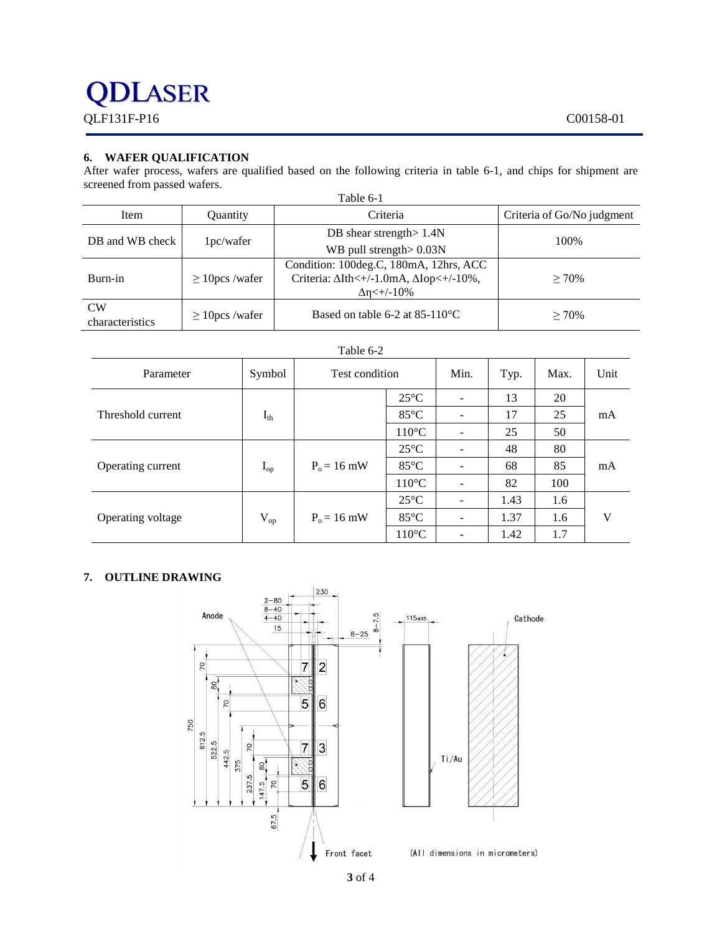## DLASER QLF131F-P16 C00158-01

#### **6. WAFER QUALIFICATION**

After wafer process, wafers are qualified based on the following criteria in table 6-1, and chips for shipment are screened from passed wafers.

| Table 6-1             |                     |                                                                                                                      |                            |  |
|-----------------------|---------------------|----------------------------------------------------------------------------------------------------------------------|----------------------------|--|
| Item                  | Quantity            | Criteria                                                                                                             | Criteria of Go/No judgment |  |
| DB and WB check       | 1pc/water           | DB shear strength $1.4N$<br>WB pull strength $> 0.03N$                                                               | 100%                       |  |
| Burn-in               | $\geq 10$ pcs/wafer | Condition: 100deg.C, 180mA, 12hrs, ACC<br>Criteria: $\Delta$ Ith<+/-1.0mA, $\Delta$ Iop<+/-10%,<br>$\Delta$ n<+/-10% | $> 70\%$                   |  |
| CW<br>characteristics | $\geq$ 10pcs/wafer  | Based on table 6-2 at $85-110^{\circ}$ C                                                                             | $> 70\%$                   |  |

| Table 6-2         |          |                |                 |      |      |      |      |
|-------------------|----------|----------------|-----------------|------|------|------|------|
| Parameter         | Symbol   | Test condition |                 | Min. | Typ. | Max. | Unit |
| Threshold current | $I_{th}$ |                | $25^{\circ}$ C  |      | 13   | 20   | mA   |
|                   |          |                | $85^{\circ}$ C  |      | 17   | 25   |      |
|                   |          |                | $110^{\circ}$ C |      | 25   | 50   |      |
| Operating current | $I_{op}$ | $P_0 = 16$ mW  | $25^{\circ}$ C  |      | 48   | 80   | mA   |
|                   |          |                | $85^{\circ}$ C  |      | 68   | 85   |      |
|                   |          |                | $110^{\circ}$ C |      | 82   | 100  |      |
| Operating voltage | $V_{op}$ | $P_0 = 16$ mW  | $25^{\circ}$ C  |      | 1.43 | 1.6  |      |
|                   |          |                | $85^{\circ}$ C  | -    | 1.37 | 1.6  | V    |
|                   |          |                | $110^{\circ}$ C |      | 1.42 | 1.7  |      |

#### **7. OUTLINE DRAWING**